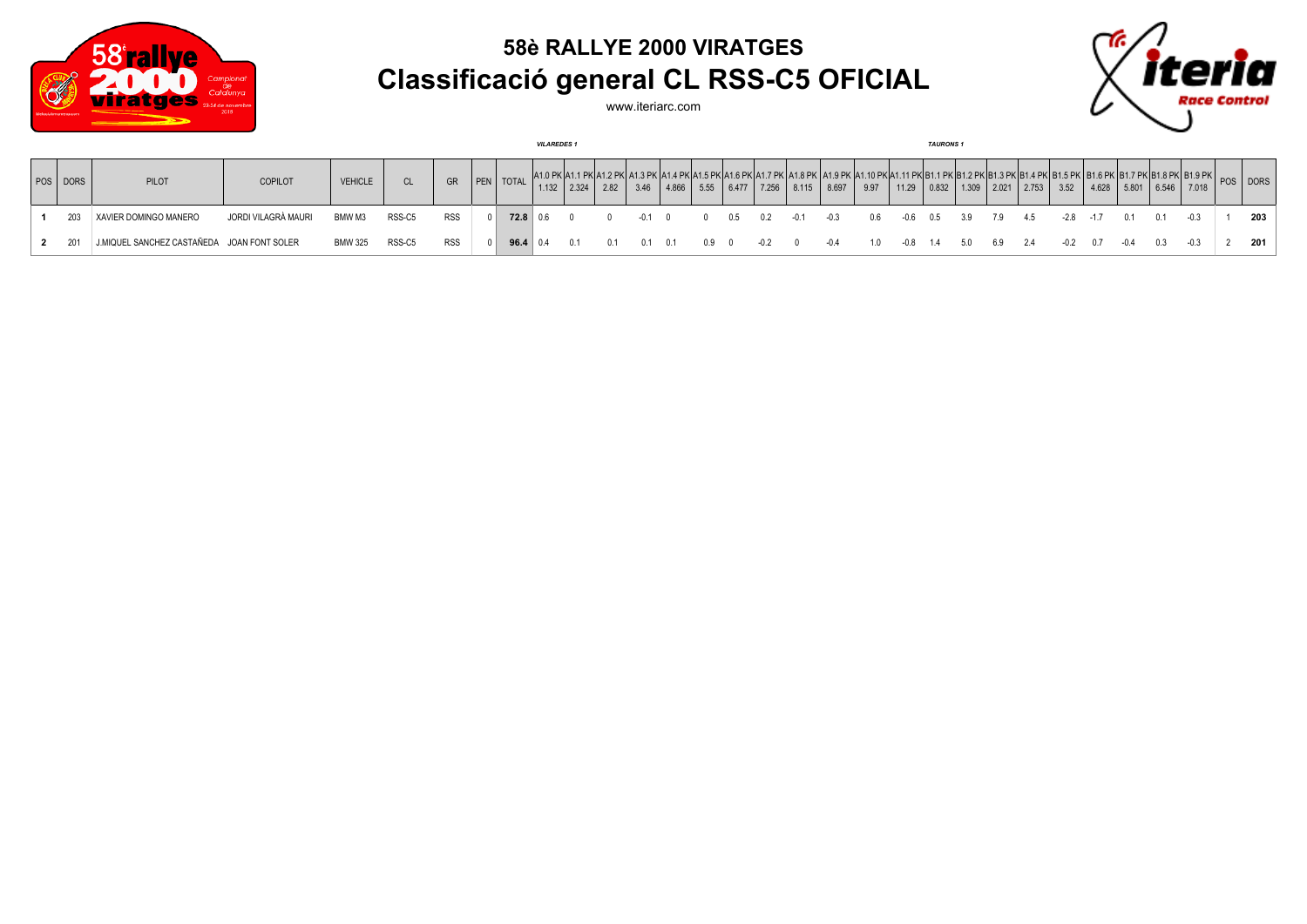

## **58è RALLYE 2000 VIRATGES Classificació general CL RSS-C5 OFICIAL**

'n

www.iteriarc.com

|  |              |                                            |                     |                |        |            |  |                    |  |                 |      | <b>VILAREDES1</b> |       |      |     |                 |        |                                                      |      |      | <b>TAURONS 1</b> |     |                                         |      |        |        |      |                     |        |          |     |
|--|--------------|--------------------------------------------|---------------------|----------------|--------|------------|--|--------------------|--|-----------------|------|-------------------|-------|------|-----|-----------------|--------|------------------------------------------------------|------|------|------------------|-----|-----------------------------------------|------|--------|--------|------|---------------------|--------|----------|-----|
|  | $ pos $ DORS | PILOT                                      | <b>COPILOT</b>      | <b>VEHICLE</b> |        | GR         |  | <b>PEN</b> TOTAL   |  | $1.132$   2.324 | 2.82 | 3.46              | 4.866 | 5.55 |     | $6.477$   7.256 | 8.115  | A <sub>1.8</sub> PK   A <sub>1.9</sub> PK  <br>8.697 | 9.97 |      |                  |     | $11.29$   0.832   1.309   2.021   2.753 |      | 3.52   | 4.628  |      | $5.801$ 6.546 7.018 |        | POS DORS |     |
|  | 203          | XAVIER DOMINGO MANERO                      | JORDI VILAGRÀ MAURI | BMW M3         | RSS-C5 | <b>RSS</b> |  | $72.8$ 0.6         |  |                 |      |                   |       |      | 0.5 |                 | $-0.1$ | $-0.3$                                               | 0.6  | -0.6 | 0.5              | 3.9 | 7.9                                     | 4.5  | -2.8   | $-1.7$ | 0.1  |                     | $-0.3$ |          | 203 |
|  |              | J.MIQUEL SANCHEZ CASTAÑEDA JOAN FONT SOLER |                     | BMW 325        | RSS-C5 | <b>RSS</b> |  | $96.4 \,   \, 0.4$ |  | 0.1             | n 1  | 0.1               | - 0.1 |      |     |                 |        | $-0.4$                                               | 1.0  | -0.8 | 1.4              | 5.0 | 69                                      | -2.4 | $-0.2$ | 07     | -0.4 | 03                  |        |          | 201 |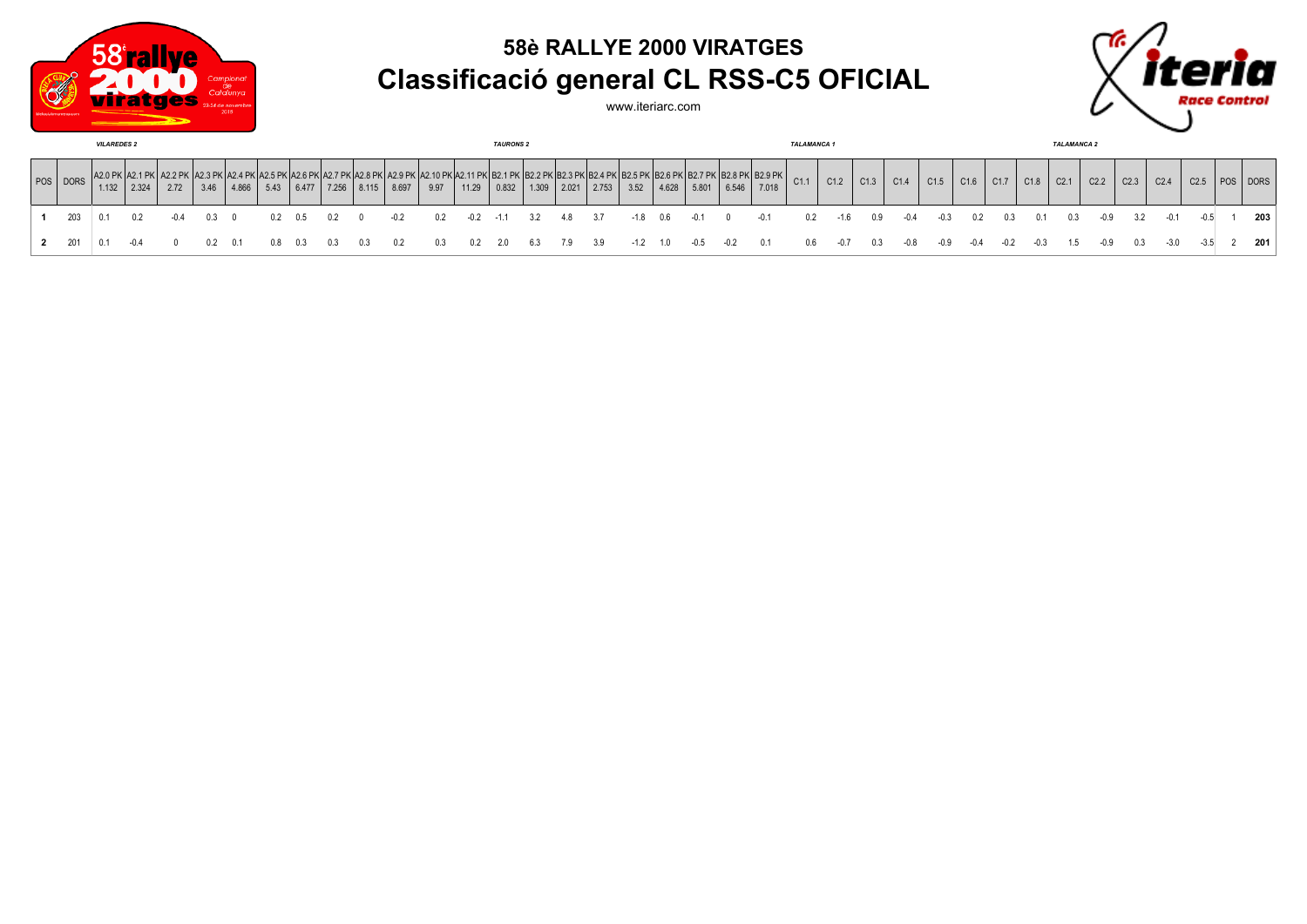

## **58è RALLYE 2000 VIRATGES Classificació general CL RSS-C5 OFICIAL**



www.iteriarc.com

| <b>VILAREDES 2</b> |       |       |      |      |       |      |       |        |                                                        |       | <b>TAURONS 2</b> |       |        |               |               |       |        | TALAMANCA 1 |               |       |        |      |            |      |      | <b>TALAMANCA 2</b> |      |      |      |      |      |      |                  |                  |          |     |
|--------------------|-------|-------|------|------|-------|------|-------|--------|--------------------------------------------------------|-------|------------------|-------|--------|---------------|---------------|-------|--------|-------------|---------------|-------|--------|------|------------|------|------|--------------------|------|------|------|------|------|------|------------------|------------------|----------|-----|
| POS   DORS         | 1.132 | 2.324 | 2.72 | 3.46 | 4.866 | 5.43 | 6.477 | 17.256 | K I A 2 6 PK I A 2 7 PK I A 2 8 PK I A 2 9 PK<br>8.115 | 8.697 | 9.97             | 11.29 | 0.832  | $1.309$ 2.021 | .2 PK1B2.3 PK | 2.753 | 3.52   |             | $4.628$ 5.801 | 6.546 | 7.018  | C1.1 | C1.2       | C1.3 | C1.4 | C1.5               | C1.6 | C1.7 | C1.8 | C2.1 | C2.2 | C2.3 | C <sub>2.4</sub> | C <sub>2.5</sub> | POS DORS |     |
| 203                | 0.1   | 02    | -04  |      |       |      |       |        |                                                        | -0.2  | 02               | -0.2  | $-1.1$ | 3.2           | 4.8           | 3.7   | -1.8   | 0.6         | -0.1          | n.    | $-0.1$ | 0.2  | $-1.6$     | 0.9  |      |                    |      |      |      | 0.3  |      |      |                  |                  |          | 203 |
| 201                | 0 1   |       |      |      |       |      |       |        |                                                        |       | 0.3              |       | 2.0    | 6.3           | 7.9           | 3.9   | $-1.2$ | 1.0         | $-0.5$        | -0.2  | 0.1    |      | $0.6 -0.7$ | 0.3  | -0.8 | -0.9               | -0.4 | -0.2 |      | 1.5  | -0.9 | 0.3  | $-3.0$           |                  |          | 201 |